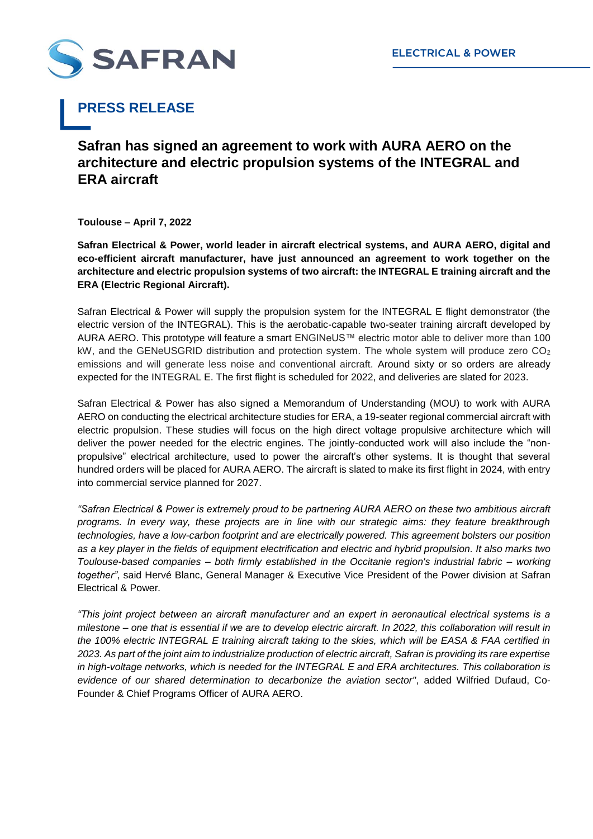

## **PRESS RELEASE**

## **Safran has signed an agreement to work with AURA AERO on the architecture and electric propulsion systems of the INTEGRAL and ERA aircraft**

**Toulouse – April 7, 2022**

**Safran Electrical & Power, world leader in aircraft electrical systems, and AURA AERO, digital and eco-efficient aircraft manufacturer, have just announced an agreement to work together on the architecture and electric propulsion systems of two aircraft: the INTEGRAL E training aircraft and the ERA (Electric Regional Aircraft).** 

Safran Electrical & Power will supply the propulsion system for the INTEGRAL E flight demonstrator (the electric version of the INTEGRAL). This is the aerobatic-capable two-seater training aircraft developed by AURA AERO. This prototype will feature a smart ENGINeUS™ electric motor able to deliver more than 100 kW, and the GENeUSGRID distribution and protection system. The whole system will produce zero  $CO<sub>2</sub>$ emissions and will generate less noise and conventional aircraft. Around sixty or so orders are already expected for the INTEGRAL E. The first flight is scheduled for 2022, and deliveries are slated for 2023.

Safran Electrical & Power has also signed a Memorandum of Understanding (MOU) to work with AURA AERO on conducting the electrical architecture studies for ERA, a 19-seater regional commercial aircraft with electric propulsion. These studies will focus on the high direct voltage propulsive architecture which will deliver the power needed for the electric engines. The jointly-conducted work will also include the "nonpropulsive" electrical architecture, used to power the aircraft's other systems. It is thought that several hundred orders will be placed for AURA AERO. The aircraft is slated to make its first flight in 2024, with entry into commercial service planned for 2027.

*"Safran Electrical & Power is extremely proud to be partnering AURA AERO on these two ambitious aircraft programs. In every way, these projects are in line with our strategic aims: they feature breakthrough technologies, have a low-carbon footprint and are electrically powered. This agreement bolsters our position as a key player in the fields of equipment electrification and electric and hybrid propulsion. It also marks two Toulouse-based companies – both firmly established in the Occitanie region's industrial fabric – working together"*, said Hervé Blanc, General Manager & Executive Vice President of the Power division at Safran Electrical & Power*.*

*"This joint project between an aircraft manufacturer and an expert in aeronautical electrical systems is a milestone – one that is essential if we are to develop electric aircraft. In 2022, this collaboration will result in the 100% electric INTEGRAL E training aircraft taking to the skies, which will be EASA & FAA certified in 2023. As part of the joint aim to industrialize production of electric aircraft, Safran is providing its rare expertise in high-voltage networks, which is needed for the INTEGRAL E and ERA architectures. This collaboration is evidence of our shared determination to decarbonize the aviation sector"*, added Wilfried Dufaud, Co-Founder & Chief Programs Officer of AURA AERO.